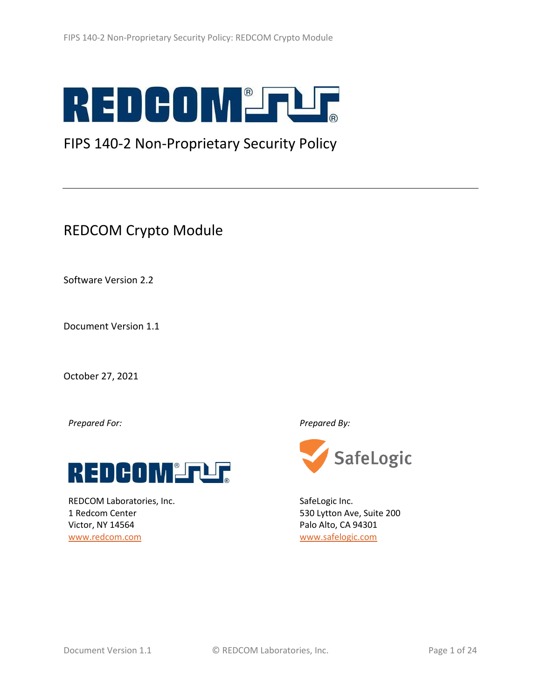

# FIPS 140-2 Non-Proprietary Security Policy

# REDCOM Crypto Module

Software Version 2.2

Document Version 1.1

October 27, 2021

*Prepared For: Prepared By:*



REDCOM Laboratories, Inc. [1 Redcom Center](https://maps.google.com/?q=1+Redcom+Center+Victor,+NY+14564&entry=gmail&source=g) [Victor, NY 14564](https://maps.google.com/?q=1+Redcom+Center+Victor,+NY+14564&entry=gmail&source=g) [www.redcom.com](http://www.redcom.com/)



SafeLogic Inc. 530 Lytton Ave, Suite 200 Palo Alto, CA 94301 [www.safelogic.com](http://www.safelogic.com/)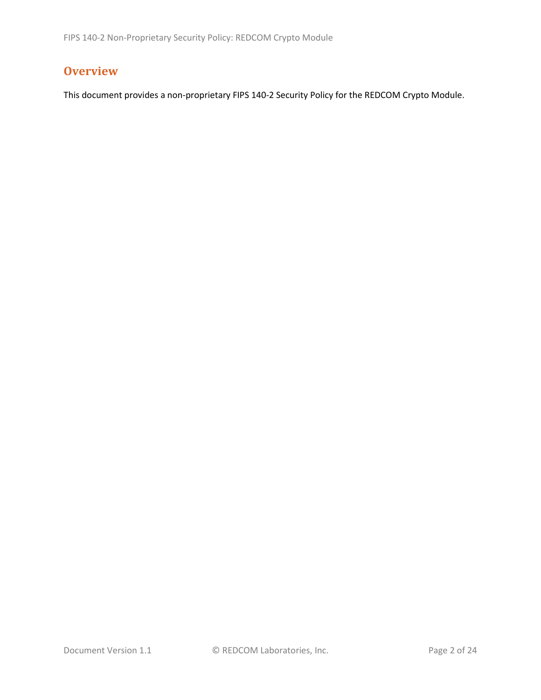## **Overview**

This document provides a non-proprietary FIPS 140-2 Security Policy for the REDCOM Crypto Module.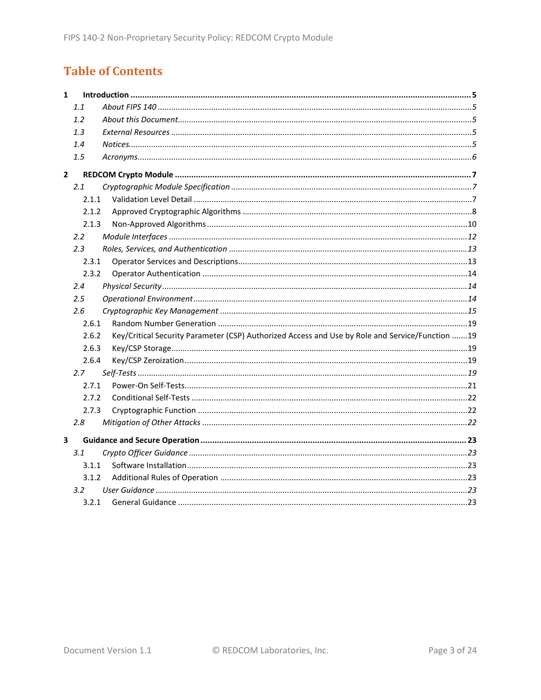# **Table of Contents**

| $\mathbf{1}$ |               |                                                                                                 |  |
|--------------|---------------|-------------------------------------------------------------------------------------------------|--|
|              | 1.1           |                                                                                                 |  |
|              | 1.2           |                                                                                                 |  |
|              | 1.3           |                                                                                                 |  |
|              | 1.4           |                                                                                                 |  |
|              | 1.5           |                                                                                                 |  |
| $\mathbf{2}$ |               |                                                                                                 |  |
|              | 2.1           |                                                                                                 |  |
|              | 2.1.1         |                                                                                                 |  |
|              | 2.1.2         |                                                                                                 |  |
|              | 2.1.3         |                                                                                                 |  |
|              | $2.2^{\circ}$ |                                                                                                 |  |
|              | 2.3           |                                                                                                 |  |
|              | 2.3.1         |                                                                                                 |  |
|              | 2.3.2         |                                                                                                 |  |
|              | 2.4           |                                                                                                 |  |
|              | $2.5\,$       |                                                                                                 |  |
|              | 2.6           |                                                                                                 |  |
|              | 2.6.1         |                                                                                                 |  |
|              | 2.6.2         | Key/Critical Security Parameter (CSP) Authorized Access and Use by Role and Service/Function 19 |  |
|              | 2.6.3         |                                                                                                 |  |
|              | 2.6.4         |                                                                                                 |  |
|              | 2.7           |                                                                                                 |  |
|              | 2.7.1         |                                                                                                 |  |
|              | 2.7.2         |                                                                                                 |  |
|              | 2.7.3         |                                                                                                 |  |
|              | 2.8           |                                                                                                 |  |
| 3            |               |                                                                                                 |  |
|              | 3.1           |                                                                                                 |  |
|              | 3.1.1         |                                                                                                 |  |
|              | 3.1.2         |                                                                                                 |  |
|              | 3.2           |                                                                                                 |  |
|              | 3.2.1         |                                                                                                 |  |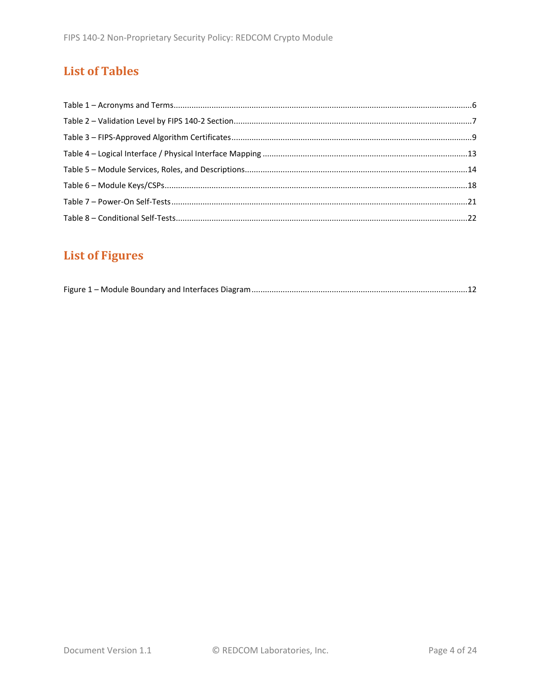# **List of Tables**

# **List of Figures**

|--|--|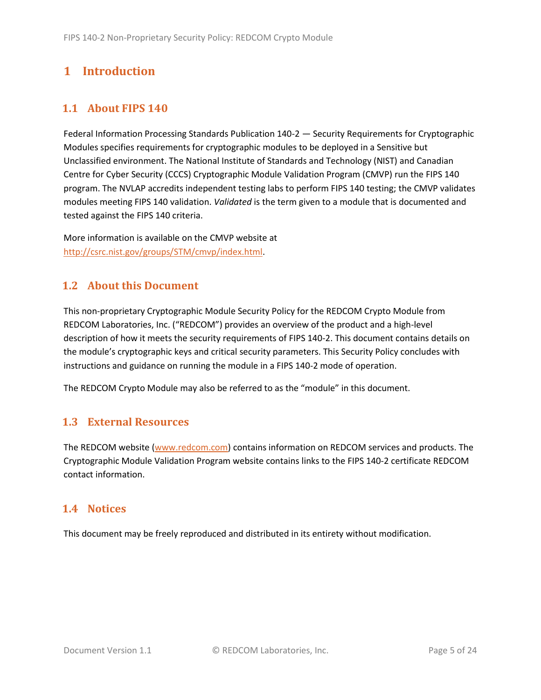## <span id="page-4-0"></span>**1 Introduction**

## <span id="page-4-1"></span>**1.1 About FIPS 140**

Federal Information Processing Standards Publication 140-2 — Security Requirements for Cryptographic Modules specifies requirements for cryptographic modules to be deployed in a Sensitive but Unclassified environment. The National Institute of Standards and Technology (NIST) and Canadian Centre for Cyber Security (CCCS) Cryptographic Module Validation Program (CMVP) run the FIPS 140 program. The NVLAP accredits independent testing labs to perform FIPS 140 testing; the CMVP validates modules meeting FIPS 140 validation. *Validated* is the term given to a module that is documented and tested against the FIPS 140 criteria.

More information is available on the CMVP website at [http://csrc.nist.gov/groups/STM/cmvp/index.html.](http://csrc.nist.gov/groups/STM/cmvp/index.html)

## <span id="page-4-2"></span>**1.2 About this Document**

This non-proprietary Cryptographic Module Security Policy for the REDCOM Crypto Module from REDCOM Laboratories, Inc. ("REDCOM") provides an overview of the product and a high-level description of how it meets the security requirements of FIPS 140-2. This document contains details on the module's cryptographic keys and critical security parameters. This Security Policy concludes with instructions and guidance on running the module in a FIPS 140-2 mode of operation.

The REDCOM Crypto Module may also be referred to as the "module" in this document.

## <span id="page-4-3"></span>**1.3 External Resources**

The REDCOM website [\(www.redcom.com\)](http://www.redcom.com/) contains information on REDCOM services and products. The Cryptographic Module Validation Program website contains links to the FIPS 140-2 certificate REDCOM contact information.

#### <span id="page-4-4"></span>**1.4 Notices**

This document may be freely reproduced and distributed in its entirety without modification.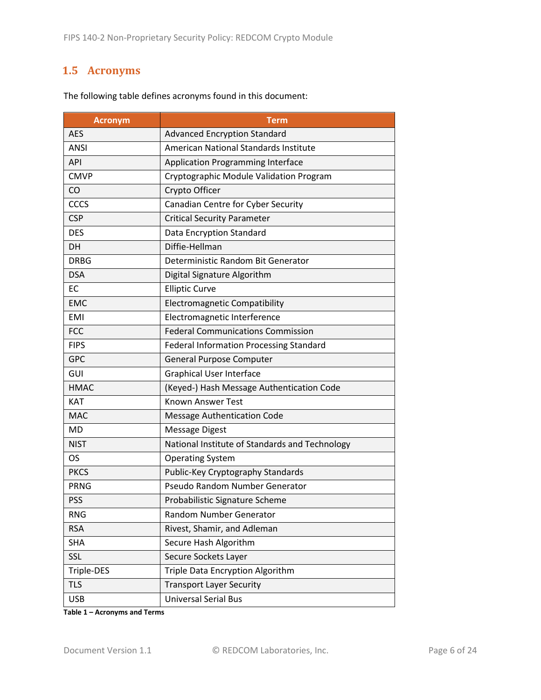## <span id="page-5-0"></span>**1.5 Acronyms**

| <b>Acronym</b> | Term                                           |  |  |  |
|----------------|------------------------------------------------|--|--|--|
| <b>AES</b>     | <b>Advanced Encryption Standard</b>            |  |  |  |
| <b>ANSI</b>    | American National Standards Institute          |  |  |  |
| <b>API</b>     | <b>Application Programming Interface</b>       |  |  |  |
| <b>CMVP</b>    | Cryptographic Module Validation Program        |  |  |  |
| CO             | Crypto Officer                                 |  |  |  |
| CCCS           | Canadian Centre for Cyber Security             |  |  |  |
| <b>CSP</b>     | <b>Critical Security Parameter</b>             |  |  |  |
| <b>DES</b>     | Data Encryption Standard                       |  |  |  |
| <b>DH</b>      | Diffie-Hellman                                 |  |  |  |
| <b>DRBG</b>    | Deterministic Random Bit Generator             |  |  |  |
| <b>DSA</b>     | Digital Signature Algorithm                    |  |  |  |
| <b>EC</b>      | <b>Elliptic Curve</b>                          |  |  |  |
| <b>EMC</b>     | <b>Electromagnetic Compatibility</b>           |  |  |  |
| <b>EMI</b>     | Electromagnetic Interference                   |  |  |  |
| <b>FCC</b>     | <b>Federal Communications Commission</b>       |  |  |  |
| <b>FIPS</b>    | Federal Information Processing Standard        |  |  |  |
| <b>GPC</b>     | <b>General Purpose Computer</b>                |  |  |  |
| GUI            | <b>Graphical User Interface</b>                |  |  |  |
| <b>HMAC</b>    | (Keyed-) Hash Message Authentication Code      |  |  |  |
| <b>KAT</b>     | <b>Known Answer Test</b>                       |  |  |  |
| <b>MAC</b>     | <b>Message Authentication Code</b>             |  |  |  |
| <b>MD</b>      | <b>Message Digest</b>                          |  |  |  |
| <b>NIST</b>    | National Institute of Standards and Technology |  |  |  |
| <b>OS</b>      | <b>Operating System</b>                        |  |  |  |
| <b>PKCS</b>    | Public-Key Cryptography Standards              |  |  |  |
| <b>PRNG</b>    | Pseudo Random Number Generator                 |  |  |  |
| <b>PSS</b>     | Probabilistic Signature Scheme                 |  |  |  |
| <b>RNG</b>     | Random Number Generator                        |  |  |  |
| <b>RSA</b>     | Rivest, Shamir, and Adleman                    |  |  |  |
| <b>SHA</b>     | Secure Hash Algorithm                          |  |  |  |
| SSL            | Secure Sockets Layer                           |  |  |  |
| Triple-DES     | Triple Data Encryption Algorithm               |  |  |  |
| <b>TLS</b>     | <b>Transport Layer Security</b>                |  |  |  |
| <b>USB</b>     | <b>Universal Serial Bus</b>                    |  |  |  |

The following table defines acronyms found in this document:

**Table 1 – Acronyms and Terms**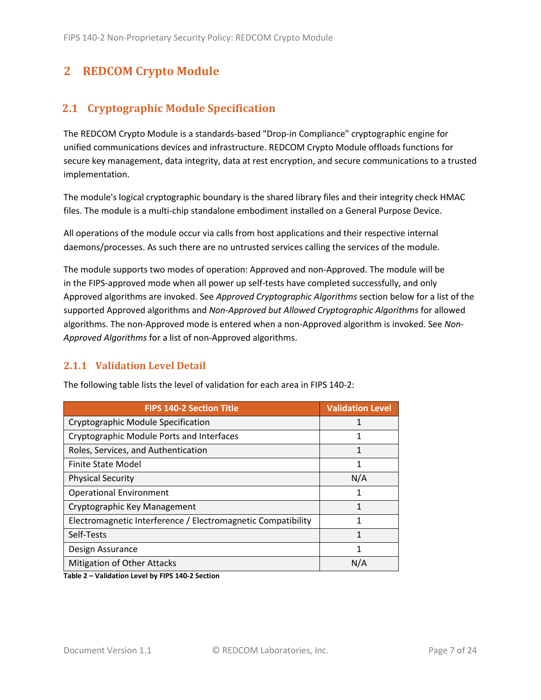## <span id="page-6-0"></span>**2 REDCOM Crypto Module**

## <span id="page-6-1"></span>**2.1 Cryptographic Module Specification**

The REDCOM Crypto Module is a standards-based "Drop-in Compliance" cryptographic engine for unified communications devices and infrastructure. REDCOM Crypto Module offloads functions for secure key management, data integrity, data at rest encryption, and secure communications to a trusted implementation.

The module's logical cryptographic boundary is the shared library files and their integrity check HMAC files. The module is a multi-chip standalone embodiment installed on a General Purpose Device.

All operations of the module occur via calls from host applications and their respective internal daemons/processes. As such there are no untrusted services calling the services of the module.

The module supports two modes of operation: Approved and non-Approved. The module will be in the FIPS-approved mode when all power up self-tests have completed successfully, and only Approved algorithms are invoked. See *Approved Cryptographic Algorithms* section below for a list of the supported Approved algorithms and *Non-Approved but Allowed Cryptographic Algorithms* for allowed algorithms. The non-Approved mode is entered when a non-Approved algorithm is invoked. See *Non-Approved Algorithms* for a list of non-Approved algorithms.

#### <span id="page-6-2"></span>**2.1.1 Validation Level Detail**

| <b>FIPS 140-2 Section Title</b>                              | <b>Validation Level</b> |
|--------------------------------------------------------------|-------------------------|
| Cryptographic Module Specification                           |                         |
| Cryptographic Module Ports and Interfaces                    |                         |
| Roles, Services, and Authentication                          | 1                       |
| Finite State Model                                           | 1                       |
| <b>Physical Security</b>                                     | N/A                     |
| <b>Operational Environment</b>                               | 1                       |
| Cryptographic Key Management                                 | 1                       |
| Electromagnetic Interference / Electromagnetic Compatibility | 1                       |
| Self-Tests                                                   | 1                       |
| Design Assurance                                             |                         |
| <b>Mitigation of Other Attacks</b>                           | N/A                     |

The following table lists the level of validation for each area in FIPS 140-2:

**Table 2 – Validation Level by FIPS 140-2 Section**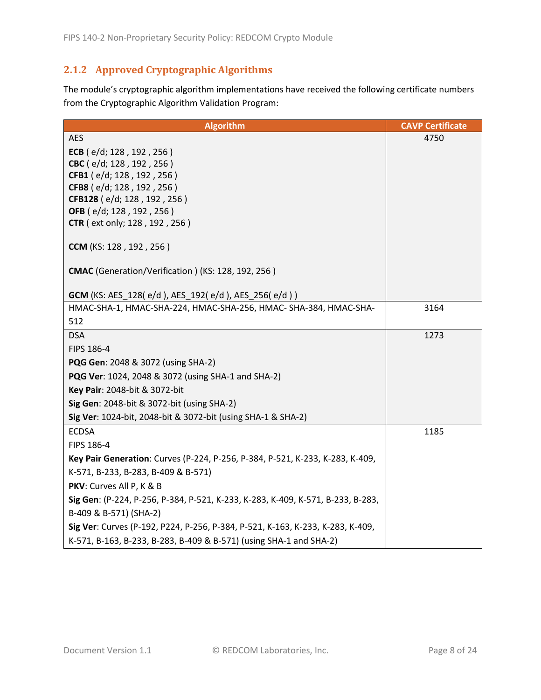## <span id="page-7-0"></span>**2.1.2 Approved Cryptographic Algorithms**

The module's cryptographic algorithm implementations have received the following certificate numbers from the Cryptographic Algorithm Validation Program:

| <b>Algorithm</b>                                                                | <b>CAVP Certificate</b> |
|---------------------------------------------------------------------------------|-------------------------|
| <b>AES</b>                                                                      | 4750                    |
| ECB (e/d; 128, 192, 256)                                                        |                         |
| CBC (e/d; 128, 192, 256)                                                        |                         |
| CFB1 (e/d; 128, 192, 256)                                                       |                         |
| CFB8 (e/d; 128, 192, 256)<br>CFB128 (e/d; 128, 192, 256)                        |                         |
| <b>OFB</b> (e/d; 128, 192, 256)                                                 |                         |
| <b>CTR</b> (ext only; 128, 192, 256)                                            |                         |
|                                                                                 |                         |
| <b>CCM</b> (KS: 128, 192, 256)                                                  |                         |
| CMAC (Generation/Verification) (KS: 128, 192, 256)                              |                         |
|                                                                                 |                         |
| GCM (KS: AES_128(e/d), AES_192(e/d), AES_256(e/d))                              |                         |
| HMAC-SHA-1, HMAC-SHA-224, HMAC-SHA-256, HMAC-SHA-384, HMAC-SHA-                 | 3164                    |
| 512                                                                             |                         |
| <b>DSA</b>                                                                      | 1273                    |
| FIPS 186-4                                                                      |                         |
| PQG Gen: 2048 & 3072 (using SHA-2)                                              |                         |
| PQG Ver: 1024, 2048 & 3072 (using SHA-1 and SHA-2)                              |                         |
| Key Pair: 2048-bit & 3072-bit                                                   |                         |
| Sig Gen: 2048-bit & 3072-bit (using SHA-2)                                      |                         |
| Sig Ver: 1024-bit, 2048-bit & 3072-bit (using SHA-1 & SHA-2)                    |                         |
| <b>ECDSA</b>                                                                    | 1185                    |
| FIPS 186-4                                                                      |                         |
| Key Pair Generation: Curves (P-224, P-256, P-384, P-521, K-233, K-283, K-409,   |                         |
| K-571, B-233, B-283, B-409 & B-571)                                             |                         |
| PKV: Curves All P, K & B                                                        |                         |
| Sig Gen: (P-224, P-256, P-384, P-521, K-233, K-283, K-409, K-571, B-233, B-283, |                         |
| B-409 & B-571) (SHA-2)                                                          |                         |
| Sig Ver: Curves (P-192, P224, P-256, P-384, P-521, K-163, K-233, K-283, K-409,  |                         |
| K-571, B-163, B-233, B-283, B-409 & B-571) (using SHA-1 and SHA-2)              |                         |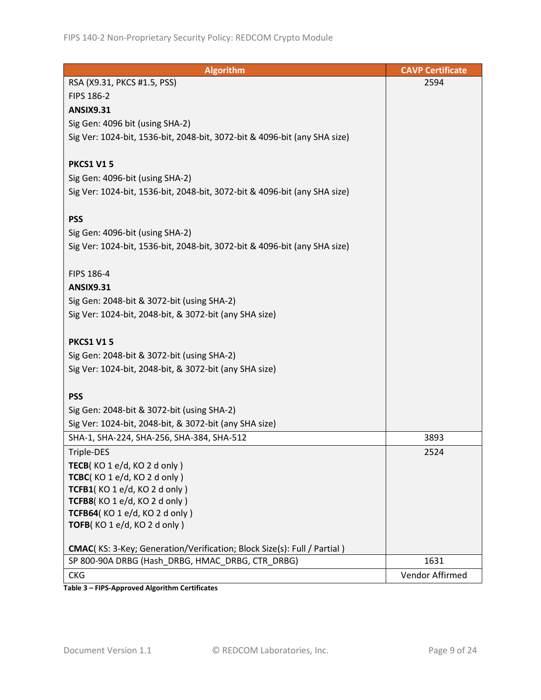| <b>Algorithm</b>                                                                                                            | <b>CAVP Certificate</b> |
|-----------------------------------------------------------------------------------------------------------------------------|-------------------------|
| RSA (X9.31, PKCS #1.5, PSS)                                                                                                 | 2594                    |
| FIPS 186-2                                                                                                                  |                         |
| <b>ANSIX9.31</b>                                                                                                            |                         |
| Sig Gen: 4096 bit (using SHA-2)                                                                                             |                         |
| Sig Ver: 1024-bit, 1536-bit, 2048-bit, 3072-bit & 4096-bit (any SHA size)                                                   |                         |
|                                                                                                                             |                         |
| <b>PKCS1 V15</b>                                                                                                            |                         |
| Sig Gen: 4096-bit (using SHA-2)                                                                                             |                         |
| Sig Ver: 1024-bit, 1536-bit, 2048-bit, 3072-bit & 4096-bit (any SHA size)                                                   |                         |
|                                                                                                                             |                         |
| <b>PSS</b>                                                                                                                  |                         |
| Sig Gen: 4096-bit (using SHA-2)                                                                                             |                         |
| Sig Ver: 1024-bit, 1536-bit, 2048-bit, 3072-bit & 4096-bit (any SHA size)                                                   |                         |
|                                                                                                                             |                         |
| FIPS 186-4                                                                                                                  |                         |
| <b>ANSIX9.31</b>                                                                                                            |                         |
| Sig Gen: 2048-bit & 3072-bit (using SHA-2)                                                                                  |                         |
| Sig Ver: 1024-bit, 2048-bit, & 3072-bit (any SHA size)                                                                      |                         |
|                                                                                                                             |                         |
| <b>PKCS1 V15</b>                                                                                                            |                         |
| Sig Gen: 2048-bit & 3072-bit (using SHA-2)                                                                                  |                         |
| Sig Ver: 1024-bit, 2048-bit, & 3072-bit (any SHA size)                                                                      |                         |
|                                                                                                                             |                         |
| <b>PSS</b>                                                                                                                  |                         |
| Sig Gen: 2048-bit & 3072-bit (using SHA-2)                                                                                  |                         |
| Sig Ver: 1024-bit, 2048-bit, & 3072-bit (any SHA size)                                                                      |                         |
| SHA-1, SHA-224, SHA-256, SHA-384, SHA-512                                                                                   | 3893                    |
| Triple-DES                                                                                                                  | 2524                    |
| TECB(KO 1 e/d, KO 2 d only)                                                                                                 |                         |
| TCBC(KO1e/d, KO2donly)                                                                                                      |                         |
| TCFB1(KO 1 e/d, KO 2 d only)                                                                                                |                         |
| TCFB8(KO1e/d, KO2donly)                                                                                                     |                         |
| TCFB64(KO 1 e/d, KO 2 d only)                                                                                               |                         |
| TOFB(KO1e/d, KO2donly)                                                                                                      |                         |
|                                                                                                                             |                         |
| CMAC(KS: 3-Key; Generation/Verification; Block Size(s): Full / Partial)<br>SP 800-90A DRBG (Hash_DRBG, HMAC_DRBG, CTR_DRBG) | 1631                    |
|                                                                                                                             | Vendor Affirmed         |
| <b>CKG</b>                                                                                                                  |                         |

**Table 3 – FIPS-Approved Algorithm Certificates**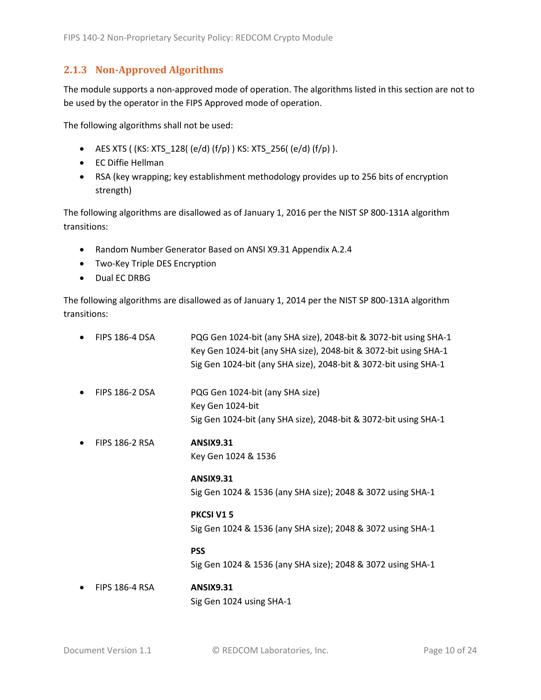#### <span id="page-9-0"></span>**2.1.3 Non-Approved Algorithms**

The module supports a non-approved mode of operation. The algorithms listed in this section are not to be used by the operator in the FIPS Approved mode of operation.

The following algorithms shall not be used:

- AES XTS (  $(KS: XTS_128$  (  $e/d$  )  $(f/p)$  )  $KS: XTS_256$  (  $e/d$  )  $(f/p)$  ).
- EC Diffie Hellman
- RSA (key wrapping; key establishment methodology provides up to 256 bits of encryption strength)

The following algorithms are disallowed as of January 1, 2016 per the NIST SP 800-131A algorithm transitions:

- Random Number Generator Based on ANSI X9.31 Appendix A.2.4
- Two-Key Triple DES Encryption
- Dual EC DRBG

The following algorithms are disallowed as of January 1, 2014 per the NIST SP 800-131A algorithm transitions:

| <b>FIPS 186-4 DSA</b> | PQG Gen 1024-bit (any SHA size), 2048-bit & 3072-bit using SHA-1<br>Key Gen 1024-bit (any SHA size), 2048-bit & 3072-bit using SHA-1<br>Sig Gen 1024-bit (any SHA size), 2048-bit & 3072-bit using SHA-1 |
|-----------------------|----------------------------------------------------------------------------------------------------------------------------------------------------------------------------------------------------------|
| <b>FIPS 186-2 DSA</b> | PQG Gen 1024-bit (any SHA size)<br>Key Gen 1024-bit<br>Sig Gen 1024-bit (any SHA size), 2048-bit & 3072-bit using SHA-1                                                                                  |
| <b>FIPS 186-2 RSA</b> | <b>ANSIX9.31</b><br>Key Gen 1024 & 1536                                                                                                                                                                  |
|                       | <b>ANSIX9.31</b><br>Sig Gen 1024 & 1536 (any SHA size); 2048 & 3072 using SHA-1                                                                                                                          |
|                       | PKCSI V15<br>Sig Gen 1024 & 1536 (any SHA size); 2048 & 3072 using SHA-1                                                                                                                                 |
|                       | <b>PSS</b><br>Sig Gen 1024 & 1536 (any SHA size); 2048 & 3072 using SHA-1                                                                                                                                |
| <b>FIPS 186-4 RSA</b> | <b>ANSIX9.31</b>                                                                                                                                                                                         |

Sig Gen 1024 using SHA-1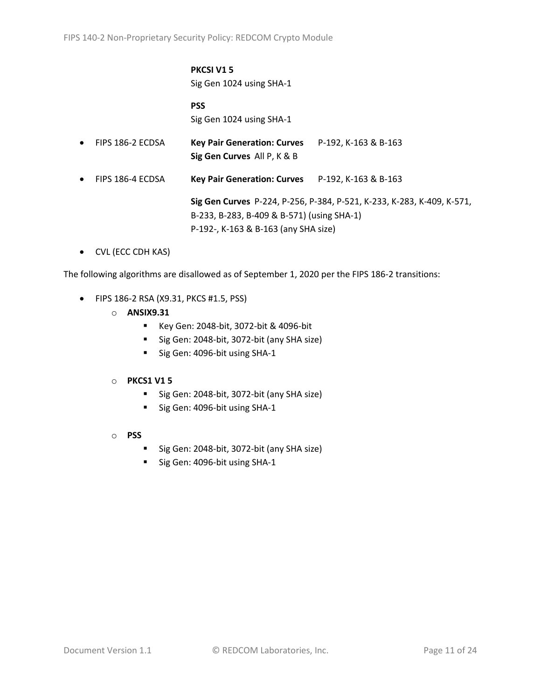#### **PKCSI V1 5** Sig Gen 1024 using SHA-1

**PSS** Sig Gen 1024 using SHA-1

• FIPS 186-2 ECDSA **Key Pair Generation: Curves** P-192, K-163 & B-163 **Sig Gen Curves** All P, K & B • FIPS 186-4 ECDSA **Key Pair Generation: Curves** P-192, K-163 & B-163

> **Sig Gen Curves** P-224, P-256, P-384, P-521, K-233, K-283, K-409, K-571, B-233, B-283, B-409 & B-571) (using SHA-1) P-192-, K-163 & B-163 (any SHA size)

• CVL (ECC CDH KAS)

The following algorithms are disallowed as of September 1, 2020 per the FIPS 186-2 transitions:

- FIPS 186-2 RSA (X9.31, PKCS #1.5, PSS)
	- o **ANSIX9.31**
		- Key Gen: 2048-bit, 3072-bit & 4096-bit
		- Sig Gen: 2048-bit, 3072-bit (any SHA size)
		- Sig Gen: 4096-bit using SHA-1

#### o **PKCS1 V1 5**

- Sig Gen: 2048-bit, 3072-bit (any SHA size)
- Sig Gen: 4096-bit using SHA-1
- o **PSS**
	- Sig Gen: 2048-bit, 3072-bit (any SHA size)
	- Sig Gen: 4096-bit using SHA-1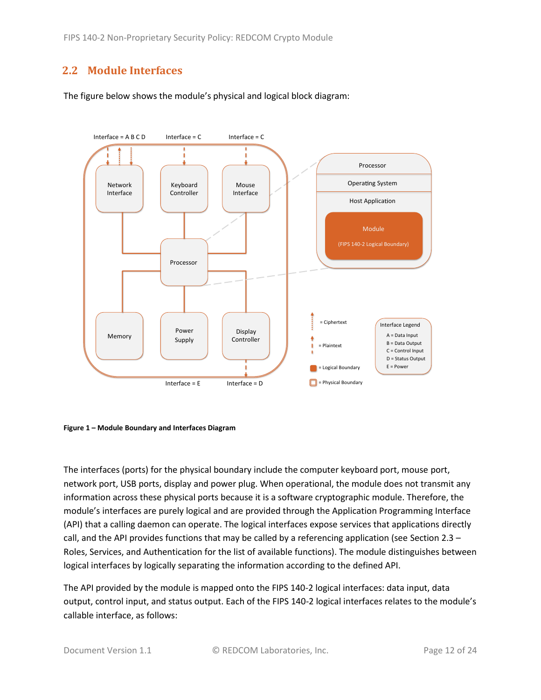## <span id="page-11-0"></span>**2.2 Module Interfaces**

The figure below shows the module's physical and logical block diagram:



<span id="page-11-1"></span>

The interfaces (ports) for the physical boundary include the computer keyboard port, mouse port, network port, USB ports, display and power plug. When operational, the module does not transmit any information across these physical ports because it is a software cryptographic module. Therefore, the module's interfaces are purely logical and are provided through the Application Programming Interface (API) that a calling daemon can operate. The logical interfaces expose services that applications directly call, and the API provides functions that may be called by a referencing application (see Sectio[n 2.3](#page-12-0) – [Roles, Services, and Authentication](#page-12-0) for the list of available functions). The module distinguishes between logical interfaces by logically separating the information according to the defined API.

The API provided by the module is mapped onto the FIPS 140-2 logical interfaces: data input, data output, control input, and status output. Each of the FIPS 140-2 logical interfaces relates to the module's callable interface, as follows: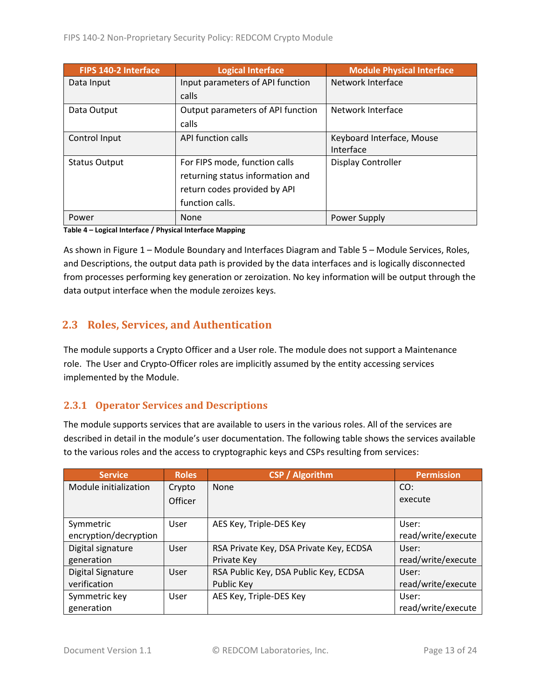| <b>FIPS 140-2 Interface</b> | <b>Logical Interface</b>          | <b>Module Physical Interface</b> |
|-----------------------------|-----------------------------------|----------------------------------|
| Data Input                  | Input parameters of API function  | Network Interface                |
|                             | calls                             |                                  |
| Data Output                 | Output parameters of API function | Network Interface                |
|                             | calls                             |                                  |
| Control Input               | API function calls                | Keyboard Interface, Mouse        |
|                             |                                   | Interface                        |
| <b>Status Output</b>        | For FIPS mode, function calls     | <b>Display Controller</b>        |
|                             | returning status information and  |                                  |
|                             | return codes provided by API      |                                  |
|                             | function calls.                   |                                  |
| Power                       | None                              | Power Supply                     |

**Table 4 – Logical Interface / Physical Interface Mapping**

As shown in Figure 1 – [Module Boundary and Interfaces Diagram](#page-11-1) and Table 5 – Module [Services, Roles,](#page-13-3) [and Descriptions,](#page-13-3) the output data path is provided by the data interfaces and is logically disconnected from processes performing key generation or zeroization. No key information will be output through the data output interface when the module zeroizes keys.

## <span id="page-12-0"></span>**2.3 Roles, Services, and Authentication**

The module supports a Crypto Officer and a User role. The module does not support a Maintenance role. The User and Crypto-Officer roles are implicitly assumed by the entity accessing services implemented by the Module.

#### <span id="page-12-1"></span>**2.3.1 Operator Services and Descriptions**

The module supports services that are available to users in the various roles. All of the services are described in detail in the module's user documentation. The following table shows the services available to the various roles and the access to cryptographic keys and CSPs resulting from services:

| <b>Service</b>           | <b>Roles</b>   | <b>CSP / Algorithm</b>                  | <b>Permission</b>  |
|--------------------------|----------------|-----------------------------------------|--------------------|
| Module initialization    | Crypto         | <b>None</b>                             | CO:                |
|                          | <b>Officer</b> |                                         | execute            |
|                          |                |                                         |                    |
| Symmetric                | User           | AES Key, Triple-DES Key                 | User:              |
| encryption/decryption    |                |                                         | read/write/execute |
| Digital signature        | User           | RSA Private Key, DSA Private Key, ECDSA | User:              |
| generation               |                | Private Key                             | read/write/execute |
| <b>Digital Signature</b> | User           | RSA Public Key, DSA Public Key, ECDSA   | User:              |
| verification             |                | Public Key                              | read/write/execute |
| Symmetric key            | User           | AES Key, Triple-DES Key                 | User:              |
| generation               |                |                                         | read/write/execute |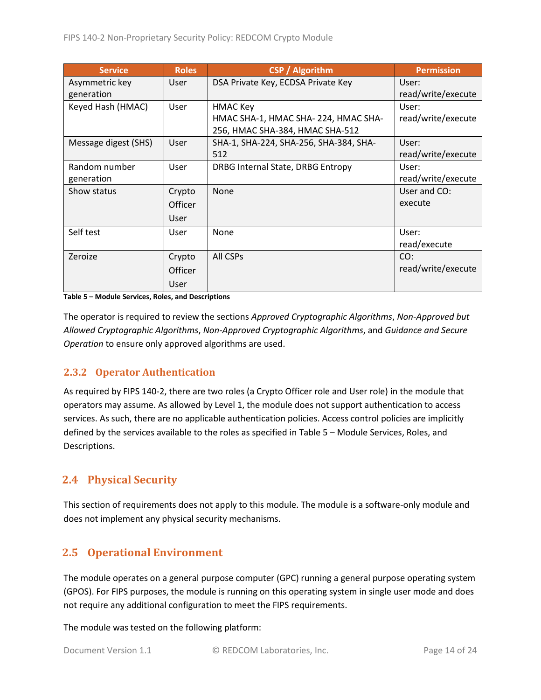| <b>Service</b>       | <b>Roles</b> | <b>CSP</b> / Algorithm                 | <b>Permission</b>  |
|----------------------|--------------|----------------------------------------|--------------------|
| Asymmetric key       | <b>User</b>  | DSA Private Key, ECDSA Private Key     | User:              |
| generation           |              |                                        | read/write/execute |
| Keyed Hash (HMAC)    | User         | <b>HMAC Key</b>                        | User:              |
|                      |              | HMAC SHA-1, HMAC SHA-224, HMAC SHA-    | read/write/execute |
|                      |              | 256, HMAC SHA-384, HMAC SHA-512        |                    |
| Message digest (SHS) | User         | SHA-1, SHA-224, SHA-256, SHA-384, SHA- | User:              |
|                      |              | 512                                    | read/write/execute |
| Random number        | User         | DRBG Internal State, DRBG Entropy      | User:              |
| generation           |              |                                        | read/write/execute |
| Show status          | Crypto       | None                                   | User and CO:       |
|                      | Officer      |                                        | execute            |
|                      | User         |                                        |                    |
| Self test            | <b>User</b>  | None                                   | User:              |
|                      |              |                                        | read/execute       |
| Zeroize              | Crypto       | All CSPs                               | CO:                |
|                      | Officer      |                                        | read/write/execute |
|                      | User         |                                        |                    |

<span id="page-13-3"></span>**Table 5 – Module Services, Roles, and Descriptions**

The operator is required to review the sections *Approved Cryptographic Algorithms*, *Non-Approved but Allowed Cryptographic Algorithms*, *Non-Approved Cryptographic Algorithms*, and *Guidance and Secure Operation* to ensure only approved algorithms are used.

#### <span id="page-13-0"></span>**2.3.2 Operator Authentication**

As required by FIPS 140-2, there are two roles (a Crypto Officer role and User role) in the module that operators may assume. As allowed by Level 1, the module does not support authentication to access services. As such, there are no applicable authentication policies. Access control policies are implicitly defined by the services available to the roles as specified in Table 5 – Module [Services, Roles,](#page-13-3) and [Descriptions.](#page-13-3)

## <span id="page-13-1"></span>**2.4 Physical Security**

This section of requirements does not apply to this module. The module is a software-only module and does not implement any physical security mechanisms.

## <span id="page-13-2"></span>**2.5 Operational Environment**

The module operates on a general purpose computer (GPC) running a general purpose operating system (GPOS). For FIPS purposes, the module is running on this operating system in single user mode and does not require any additional configuration to meet the FIPS requirements.

The module was tested on the following platform: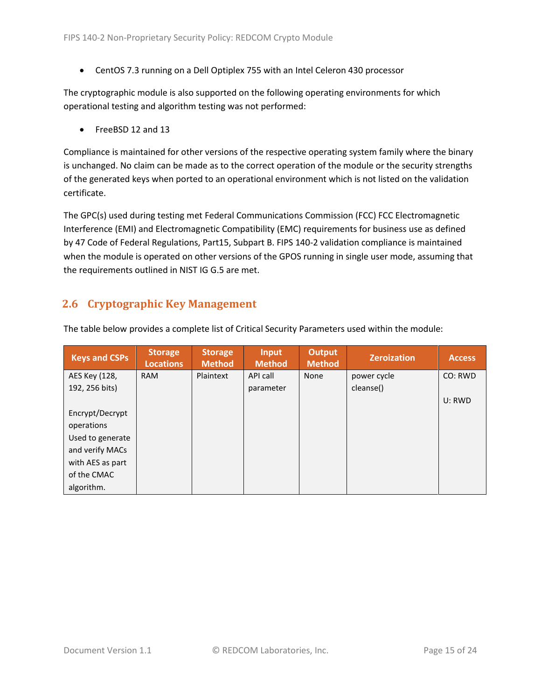• CentOS 7.3 running on a Dell Optiplex 755 with an Intel Celeron 430 processor

The cryptographic module is also supported on the following operating environments for which operational testing and algorithm testing was not performed:

• FreeBSD 12 and 13

Compliance is maintained for other versions of the respective operating system family where the binary is unchanged. No claim can be made as to the correct operation of the module or the security strengths of the generated keys when ported to an operational environment which is not listed on the validation certificate.

The GPC(s) used during testing met Federal Communications Commission (FCC) FCC Electromagnetic Interference (EMI) and Electromagnetic Compatibility (EMC) requirements for business use as defined by 47 Code of Federal Regulations, Part15, Subpart B. FIPS 140-2 validation compliance is maintained when the module is operated on other versions of the GPOS running in single user mode, assuming that the requirements outlined in NIST IG G.5 are met.

## <span id="page-14-0"></span>**2.6 Cryptographic Key Management**

| <b>Keys and CSPs</b> | <b>Storage</b><br><b>Locations</b> | <b>Storage</b><br><b>Method</b> | <b>Input</b><br><b>Method</b> | Output<br><b>Method</b> | <b>Zeroization</b> | <b>Access</b> |
|----------------------|------------------------------------|---------------------------------|-------------------------------|-------------------------|--------------------|---------------|
| AES Key (128,        | <b>RAM</b>                         | Plaintext                       | API call                      | None                    | power cycle        | CO: RWD       |
| 192, 256 bits)       |                                    |                                 | parameter                     |                         | cleanse()          |               |
|                      |                                    |                                 |                               |                         |                    | U: RWD        |
| Encrypt/Decrypt      |                                    |                                 |                               |                         |                    |               |
| operations           |                                    |                                 |                               |                         |                    |               |
| Used to generate     |                                    |                                 |                               |                         |                    |               |
| and verify MACs      |                                    |                                 |                               |                         |                    |               |
| with AES as part     |                                    |                                 |                               |                         |                    |               |
| of the CMAC          |                                    |                                 |                               |                         |                    |               |
| algorithm.           |                                    |                                 |                               |                         |                    |               |

The table below provides a complete list of Critical Security Parameters used within the module: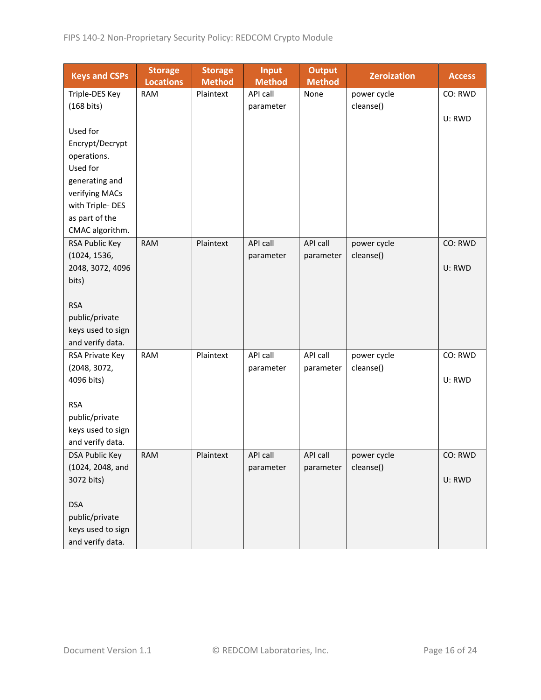| <b>Keys and CSPs</b> | <b>Storage</b><br><b>Locations</b> | <b>Storage</b><br><b>Method</b> | <b>Input</b><br><b>Method</b> | <b>Output</b><br><b>Method</b> | <b>Zeroization</b> | <b>Access</b> |
|----------------------|------------------------------------|---------------------------------|-------------------------------|--------------------------------|--------------------|---------------|
| Triple-DES Key       | <b>RAM</b>                         | Plaintext                       | API call                      | None                           | power cycle        | CO: RWD       |
| (168 bits)           |                                    |                                 | parameter                     |                                | cleanse()          |               |
|                      |                                    |                                 |                               |                                |                    | U: RWD        |
| Used for             |                                    |                                 |                               |                                |                    |               |
| Encrypt/Decrypt      |                                    |                                 |                               |                                |                    |               |
| operations.          |                                    |                                 |                               |                                |                    |               |
| Used for             |                                    |                                 |                               |                                |                    |               |
| generating and       |                                    |                                 |                               |                                |                    |               |
| verifying MACs       |                                    |                                 |                               |                                |                    |               |
| with Triple-DES      |                                    |                                 |                               |                                |                    |               |
| as part of the       |                                    |                                 |                               |                                |                    |               |
| CMAC algorithm.      |                                    |                                 |                               |                                |                    |               |
| RSA Public Key       | <b>RAM</b>                         | Plaintext                       | API call                      | API call                       | power cycle        | CO: RWD       |
| (1024, 1536,         |                                    |                                 | parameter                     | parameter                      | cleanse()          |               |
| 2048, 3072, 4096     |                                    |                                 |                               |                                |                    | U: RWD        |
| bits)                |                                    |                                 |                               |                                |                    |               |
|                      |                                    |                                 |                               |                                |                    |               |
| <b>RSA</b>           |                                    |                                 |                               |                                |                    |               |
| public/private       |                                    |                                 |                               |                                |                    |               |
| keys used to sign    |                                    |                                 |                               |                                |                    |               |
| and verify data.     |                                    |                                 |                               |                                |                    |               |
| RSA Private Key      | <b>RAM</b>                         | Plaintext                       | API call                      | API call                       | power cycle        | CO: RWD       |
| (2048, 3072,         |                                    |                                 | parameter                     | parameter                      | cleanse()          |               |
| 4096 bits)           |                                    |                                 |                               |                                |                    | U: RWD        |
|                      |                                    |                                 |                               |                                |                    |               |
| <b>RSA</b>           |                                    |                                 |                               |                                |                    |               |
| public/private       |                                    |                                 |                               |                                |                    |               |
| keys used to sign    |                                    |                                 |                               |                                |                    |               |
| and verify data.     |                                    |                                 |                               |                                |                    |               |
| DSA Public Key       | <b>RAM</b>                         | Plaintext                       | API call                      | <b>API call</b>                | power cycle        | CO: RWD       |
| (1024, 2048, and     |                                    |                                 | parameter                     | parameter                      | cleanse()          |               |
| 3072 bits)           |                                    |                                 |                               |                                |                    | U: RWD        |
|                      |                                    |                                 |                               |                                |                    |               |
| <b>DSA</b>           |                                    |                                 |                               |                                |                    |               |
| public/private       |                                    |                                 |                               |                                |                    |               |
| keys used to sign    |                                    |                                 |                               |                                |                    |               |
| and verify data.     |                                    |                                 |                               |                                |                    |               |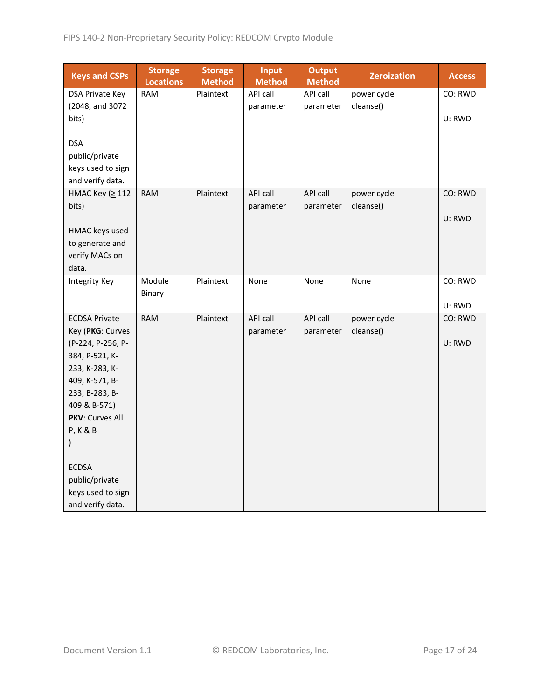| <b>Keys and CSPs</b>              | <b>Storage</b><br><b>Locations</b> | <b>Storage</b><br><b>Method</b> | <b>Input</b><br><b>Method</b> | <b>Output</b><br><b>Method</b> | <b>Zeroization</b> | <b>Access</b> |
|-----------------------------------|------------------------------------|---------------------------------|-------------------------------|--------------------------------|--------------------|---------------|
| DSA Private Key                   | <b>RAM</b>                         | Plaintext                       | API call                      | API call                       | power cycle        | CO: RWD       |
| (2048, and 3072                   |                                    |                                 | parameter                     | parameter                      | cleanse()          |               |
| bits)                             |                                    |                                 |                               |                                |                    | U: RWD        |
|                                   |                                    |                                 |                               |                                |                    |               |
| <b>DSA</b>                        |                                    |                                 |                               |                                |                    |               |
| public/private                    |                                    |                                 |                               |                                |                    |               |
| keys used to sign                 |                                    |                                 |                               |                                |                    |               |
| and verify data.                  |                                    |                                 |                               |                                |                    |               |
| НМАС Кеу (≥ 112                   | <b>RAM</b>                         | Plaintext                       | API call                      | API call                       | power cycle        | CO: RWD       |
| bits)                             |                                    |                                 | parameter                     | parameter                      | cleanse()          |               |
|                                   |                                    |                                 |                               |                                |                    | U: RWD        |
| HMAC keys used                    |                                    |                                 |                               |                                |                    |               |
| to generate and<br>verify MACs on |                                    |                                 |                               |                                |                    |               |
| data.                             |                                    |                                 |                               |                                |                    |               |
| <b>Integrity Key</b>              | Module                             | Plaintext                       | None                          | None                           | None               | CO: RWD       |
|                                   | Binary                             |                                 |                               |                                |                    |               |
|                                   |                                    |                                 |                               |                                |                    | U: RWD        |
| <b>ECDSA Private</b>              | <b>RAM</b>                         | Plaintext                       | API call                      | API call                       | power cycle        | CO: RWD       |
| Key (PKG: Curves                  |                                    |                                 | parameter                     | parameter                      | cleanse()          |               |
| (P-224, P-256, P-                 |                                    |                                 |                               |                                |                    | U: RWD        |
| 384, P-521, K-                    |                                    |                                 |                               |                                |                    |               |
| 233, K-283, K-                    |                                    |                                 |                               |                                |                    |               |
| 409, K-571, B-                    |                                    |                                 |                               |                                |                    |               |
| 233, B-283, B-                    |                                    |                                 |                               |                                |                    |               |
| 409 & B-571)                      |                                    |                                 |                               |                                |                    |               |
| PKV: Curves All                   |                                    |                                 |                               |                                |                    |               |
| <b>P, K &amp; B</b>               |                                    |                                 |                               |                                |                    |               |
|                                   |                                    |                                 |                               |                                |                    |               |
| <b>ECDSA</b>                      |                                    |                                 |                               |                                |                    |               |
| public/private                    |                                    |                                 |                               |                                |                    |               |
| keys used to sign                 |                                    |                                 |                               |                                |                    |               |
| and verify data.                  |                                    |                                 |                               |                                |                    |               |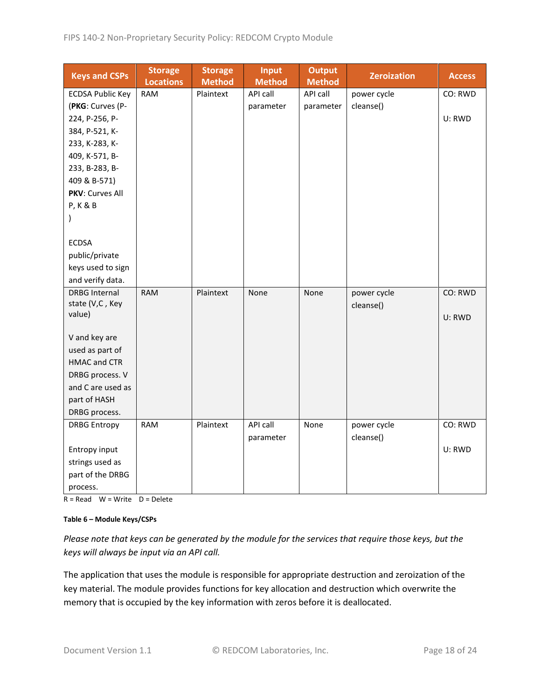| <b>Keys and CSPs</b>                   | <b>Storage</b><br><b>Locations</b> | <b>Storage</b><br><b>Method</b> | Input<br><b>Method</b> | <b>Output</b><br><b>Method</b> | <b>Zeroization</b>       | <b>Access</b> |
|----------------------------------------|------------------------------------|---------------------------------|------------------------|--------------------------------|--------------------------|---------------|
| <b>ECDSA Public Key</b>                | <b>RAM</b>                         | Plaintext                       | API call               | API call                       | power cycle              | CO: RWD       |
| (PKG: Curves (P-                       |                                    |                                 | parameter              | parameter                      | cleanse()                |               |
| 224, P-256, P-                         |                                    |                                 |                        |                                |                          | U: RWD        |
| 384, P-521, K-                         |                                    |                                 |                        |                                |                          |               |
| 233, K-283, K-                         |                                    |                                 |                        |                                |                          |               |
| 409, K-571, B-                         |                                    |                                 |                        |                                |                          |               |
| 233, B-283, B-                         |                                    |                                 |                        |                                |                          |               |
| 409 & B-571)                           |                                    |                                 |                        |                                |                          |               |
| PKV: Curves All                        |                                    |                                 |                        |                                |                          |               |
| <b>P, K &amp; B</b>                    |                                    |                                 |                        |                                |                          |               |
| $\mathcal{E}$                          |                                    |                                 |                        |                                |                          |               |
|                                        |                                    |                                 |                        |                                |                          |               |
| <b>ECDSA</b>                           |                                    |                                 |                        |                                |                          |               |
| public/private                         |                                    |                                 |                        |                                |                          |               |
| keys used to sign                      |                                    |                                 |                        |                                |                          |               |
| and verify data.                       |                                    |                                 |                        |                                |                          |               |
| <b>DRBG Internal</b>                   | <b>RAM</b>                         | Plaintext                       | None                   | None                           | power cycle              | CO: RWD       |
| state (V,C, Key                        |                                    |                                 |                        |                                | cleanse()                |               |
| value)                                 |                                    |                                 |                        |                                |                          | U: RWD        |
|                                        |                                    |                                 |                        |                                |                          |               |
| V and key are                          |                                    |                                 |                        |                                |                          |               |
| used as part of<br><b>HMAC and CTR</b> |                                    |                                 |                        |                                |                          |               |
|                                        |                                    |                                 |                        |                                |                          |               |
| DRBG process. V<br>and C are used as   |                                    |                                 |                        |                                |                          |               |
|                                        |                                    |                                 |                        |                                |                          |               |
| part of HASH                           |                                    |                                 |                        |                                |                          |               |
| DRBG process.                          | <b>RAM</b>                         | Plaintext                       | API call               |                                |                          | CO: RWD       |
| <b>DRBG Entropy</b>                    |                                    |                                 |                        | None                           | power cycle<br>cleanse() |               |
|                                        |                                    |                                 | parameter              |                                |                          | U: RWD        |
| Entropy input<br>strings used as       |                                    |                                 |                        |                                |                          |               |
|                                        |                                    |                                 |                        |                                |                          |               |
| part of the DRBG                       |                                    |                                 |                        |                                |                          |               |
| process.                               |                                    |                                 |                        |                                |                          |               |

 $R = Read$  W = Write D = Delete

#### **Table 6 – Module Keys/CSPs**

*Please note that keys can be generated by the module for the services that require those keys, but the keys will always be input via an API call.*

The application that uses the module is responsible for appropriate destruction and zeroization of the key material. The module provides functions for key allocation and destruction which overwrite the memory that is occupied by the key information with zeros before it is deallocated.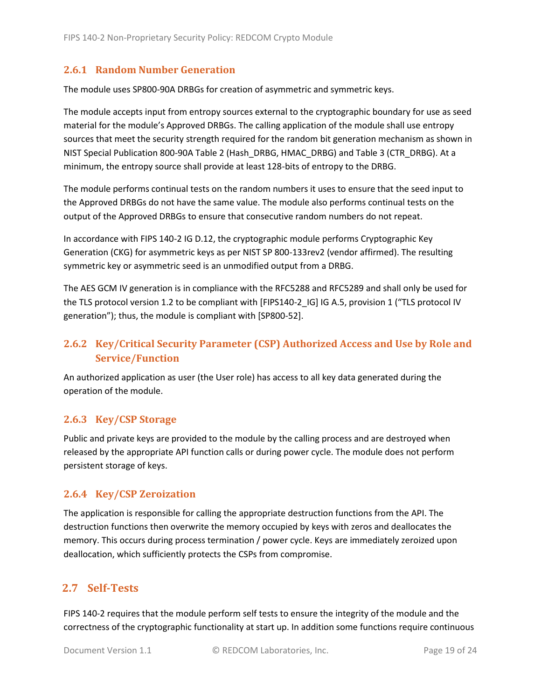#### <span id="page-18-0"></span>**2.6.1 Random Number Generation**

The module uses SP800-90A DRBGs for creation of asymmetric and symmetric keys.

The module accepts input from entropy sources external to the cryptographic boundary for use as seed material for the module's Approved DRBGs. The calling application of the module shall use entropy sources that meet the security strength required for the random bit generation mechanism as shown in NIST Special Publication 800-90A Table 2 (Hash\_DRBG, HMAC\_DRBG) and Table 3 (CTR\_DRBG). At a minimum, the entropy source shall provide at least 128-bits of entropy to the DRBG.

The module performs continual tests on the random numbers it uses to ensure that the seed input to the Approved DRBGs do not have the same value. The module also performs continual tests on the output of the Approved DRBGs to ensure that consecutive random numbers do not repeat.

In accordance with FIPS 140-2 IG D.12, the cryptographic module performs Cryptographic Key Generation (CKG) for asymmetric keys as per NIST SP 800-133rev2 (vendor affirmed). The resulting symmetric key or asymmetric seed is an unmodified output from a DRBG.

The AES GCM IV generation is in compliance with the RFC5288 and RFC5289 and shall only be used for the TLS protocol version 1.2 to be compliant with [FIPS140-2 IG] IG A.5, provision 1 ("TLS protocol IV generation"); thus, the module is compliant with [SP800-52].

## <span id="page-18-1"></span>**2.6.2 Key/Critical Security Parameter (CSP) Authorized Access and Use by Role and Service/Function**

An authorized application as user (the User role) has access to all key data generated during the operation of the module.

#### <span id="page-18-2"></span>**2.6.3 Key/CSP Storage**

Public and private keys are provided to the module by the calling process and are destroyed when released by the appropriate API function calls or during power cycle. The module does not perform persistent storage of keys.

#### <span id="page-18-3"></span>**2.6.4 Key/CSP Zeroization**

The application is responsible for calling the appropriate destruction functions from the API. The destruction functions then overwrite the memory occupied by keys with zeros and deallocates the memory. This occurs during process termination / power cycle. Keys are immediately zeroized upon deallocation, which sufficiently protects the CSPs from compromise.

#### <span id="page-18-4"></span>**2.7 Self-Tests**

FIPS 140-2 requires that the module perform self tests to ensure the integrity of the module and the correctness of the cryptographic functionality at start up. In addition some functions require continuous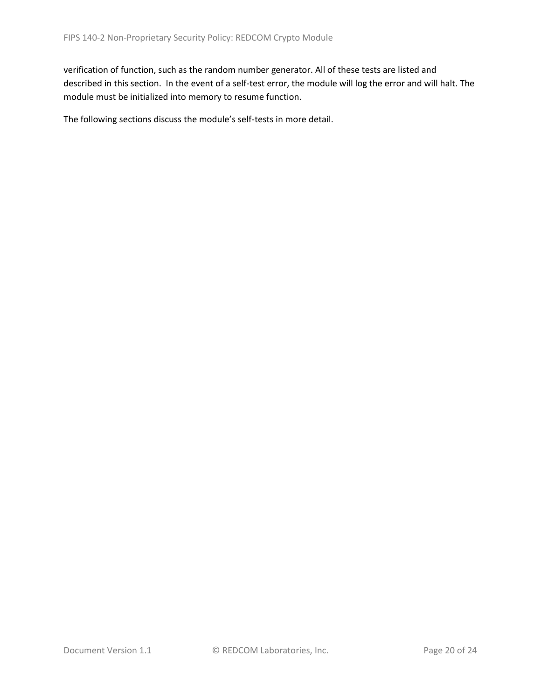verification of function, such as the random number generator. All of these tests are listed and described in this section. In the event of a self-test error, the module will log the error and will halt. The module must be initialized into memory to resume function.

The following sections discuss the module's self-tests in more detail.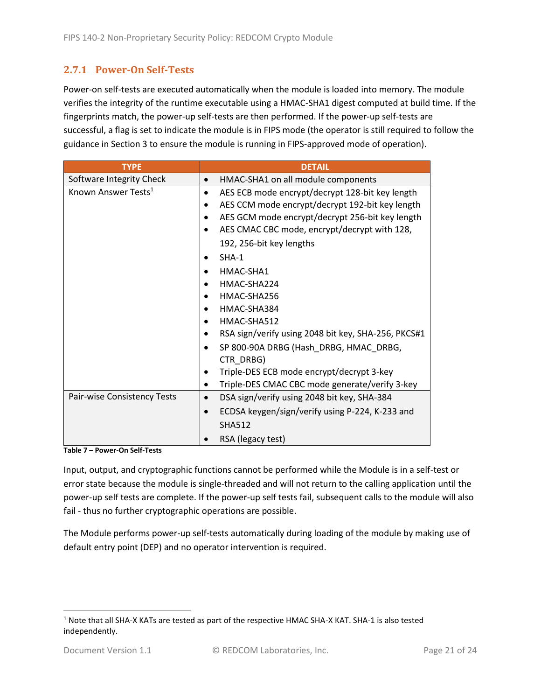## <span id="page-20-0"></span>**2.7.1 Power-On Self-Tests**

Power-on self-tests are executed automatically when the module is loaded into memory. The module verifies the integrity of the runtime executable using a HMAC-SHA1 digest computed at build time. If the fingerprints match, the power-up self-tests are then performed. If the power-up self-tests are successful, a flag is set to indicate the module is in FIPS mode (the operator is still required to follow the guidance in Section 3 to ensure the module is running in FIPS-approved mode of operation).

| <b>TYPE</b>                     | <b>DETAIL</b>                                                |  |  |  |
|---------------------------------|--------------------------------------------------------------|--|--|--|
| Software Integrity Check        | HMAC-SHA1 on all module components                           |  |  |  |
| Known Answer Tests <sup>1</sup> | AES ECB mode encrypt/decrypt 128-bit key length<br>$\bullet$ |  |  |  |
|                                 | AES CCM mode encrypt/decrypt 192-bit key length              |  |  |  |
|                                 | AES GCM mode encrypt/decrypt 256-bit key length              |  |  |  |
|                                 | AES CMAC CBC mode, encrypt/decrypt with 128,                 |  |  |  |
|                                 | 192, 256-bit key lengths                                     |  |  |  |
|                                 | $SHA-1$                                                      |  |  |  |
|                                 | HMAC-SHA1                                                    |  |  |  |
|                                 | HMAC-SHA224                                                  |  |  |  |
|                                 | HMAC-SHA256                                                  |  |  |  |
|                                 | HMAC-SHA384                                                  |  |  |  |
|                                 | HMAC-SHA512                                                  |  |  |  |
|                                 | RSA sign/verify using 2048 bit key, SHA-256, PKCS#1          |  |  |  |
|                                 | SP 800-90A DRBG (Hash DRBG, HMAC DRBG,                       |  |  |  |
|                                 | CTR DRBG)                                                    |  |  |  |
|                                 | Triple-DES ECB mode encrypt/decrypt 3-key                    |  |  |  |
|                                 | Triple-DES CMAC CBC mode generate/verify 3-key               |  |  |  |
| Pair-wise Consistency Tests     | DSA sign/verify using 2048 bit key, SHA-384<br>$\bullet$     |  |  |  |
|                                 | ECDSA keygen/sign/verify using P-224, K-233 and              |  |  |  |
|                                 | <b>SHA512</b>                                                |  |  |  |
|                                 | RSA (legacy test)                                            |  |  |  |

**Table 7 – Power-On Self-Tests**

Input, output, and cryptographic functions cannot be performed while the Module is in a self-test or error state because the module is single-threaded and will not return to the calling application until the power-up self tests are complete. If the power-up self tests fail, subsequent calls to the module will also fail - thus no further cryptographic operations are possible.

The Module performs power-up self-tests automatically during loading of the module by making use of default entry point (DEP) and no operator intervention is required.

<sup>1</sup> Note that all SHA-X KATs are tested as part of the respective HMAC SHA-X KAT. SHA-1 is also tested independently.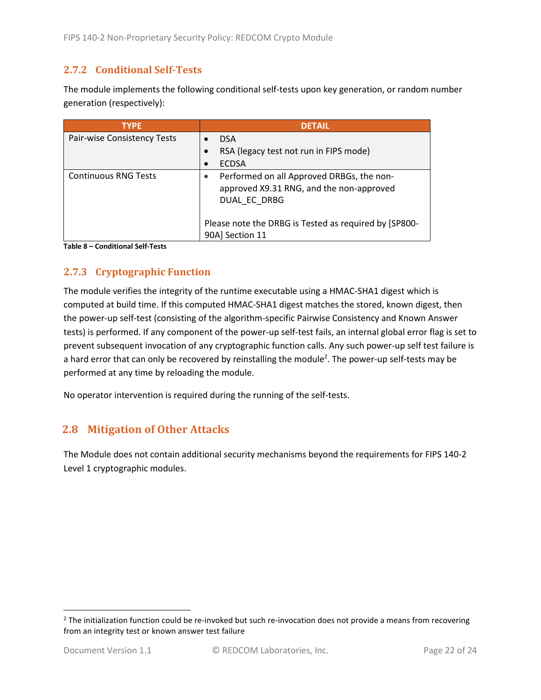#### <span id="page-21-0"></span>**2.7.2 Conditional Self-Tests**

The module implements the following conditional self-tests upon key generation, or random number generation (respectively):

| <b>TYPE</b>                 | <b>DETAIL</b>                                                                                         |
|-----------------------------|-------------------------------------------------------------------------------------------------------|
| Pair-wise Consistency Tests | <b>DSA</b>                                                                                            |
|                             | RSA (legacy test not run in FIPS mode)                                                                |
|                             | <b>ECDSA</b>                                                                                          |
| <b>Continuous RNG Tests</b> | Performed on all Approved DRBGs, the non-<br>approved X9.31 RNG, and the non-approved<br>DUAL EC DRBG |
|                             | Please note the DRBG is Tested as required by [SP800-<br>90A] Section 11                              |

**Table 8 – Conditional Self-Tests**

## <span id="page-21-1"></span>**2.7.3 Cryptographic Function**

The module verifies the integrity of the runtime executable using a HMAC-SHA1 digest which is computed at build time. If this computed HMAC-SHA1 digest matches the stored, known digest, then the power-up self-test (consisting of the algorithm-specific Pairwise Consistency and Known Answer tests) is performed. If any component of the power-up self-test fails, an internal global error flag is set to prevent subsequent invocation of any cryptographic function calls. Any such power-up self test failure is a hard error that can only be recovered by reinstalling the module<sup>2</sup>. The power-up self-tests may be performed at any time by reloading the module.

No operator intervention is required during the running of the self-tests.

## <span id="page-21-2"></span>**2.8 Mitigation of Other Attacks**

The Module does not contain additional security mechanisms beyond the requirements for FIPS 140-2 Level 1 cryptographic modules.

 $2$  The initialization function could be re-invoked but such re-invocation does not provide a means from recovering from an integrity test or known answer test failure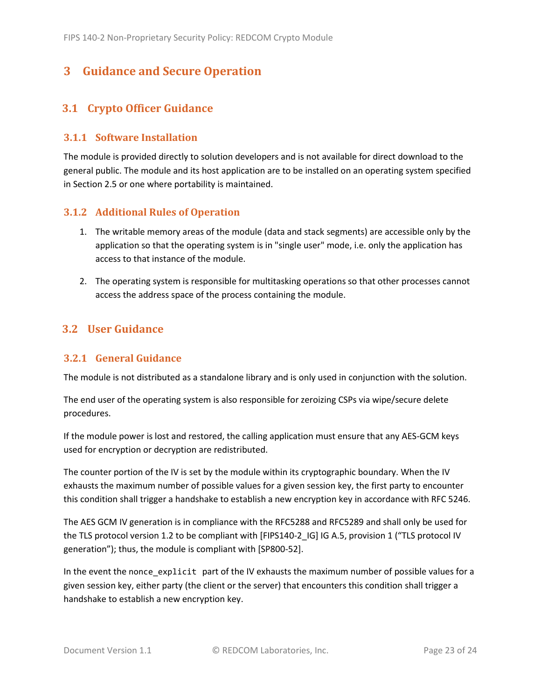## <span id="page-22-0"></span>**3 Guidance and Secure Operation**

## <span id="page-22-1"></span>**3.1 Crypto Officer Guidance**

#### <span id="page-22-2"></span>**3.1.1 Software Installation**

The module is provided directly to solution developers and is not available for direct download to the general public. The module and its host application are to be installed on an operating system specified in Section [2.5](#page-13-2) or one where portability is maintained.

#### <span id="page-22-3"></span>**3.1.2 Additional Rules of Operation**

- 1. The writable memory areas of the module (data and stack segments) are accessible only by the application so that the operating system is in "single user" mode, i.e. only the application has access to that instance of the module.
- 2. The operating system is responsible for multitasking operations so that other processes cannot access the address space of the process containing the module.

#### <span id="page-22-4"></span>**3.2 User Guidance**

#### <span id="page-22-5"></span>**3.2.1 General Guidance**

The module is not distributed as a standalone library and is only used in conjunction with the solution.

The end user of the operating system is also responsible for zeroizing CSPs via wipe/secure delete procedures.

If the module power is lost and restored, the calling application must ensure that any AES-GCM keys used for encryption or decryption are redistributed.

The counter portion of the IV is set by the module within its cryptographic boundary. When the IV exhausts the maximum number of possible values for a given session key, the first party to encounter this condition shall trigger a handshake to establish a new encryption key in accordance with RFC 5246.

The AES GCM IV generation is in compliance with the RFC5288 and RFC5289 and shall only be used for the TLS protocol version 1.2 to be compliant with [FIPS140-2 IG] IG A.5, provision 1 ("TLS protocol IV generation"); thus, the module is compliant with [SP800-52].

In the event the nonce\_explicit part of the IV exhausts the maximum number of possible values for a given session key, either party (the client or the server) that encounters this condition shall trigger a handshake to establish a new encryption key.